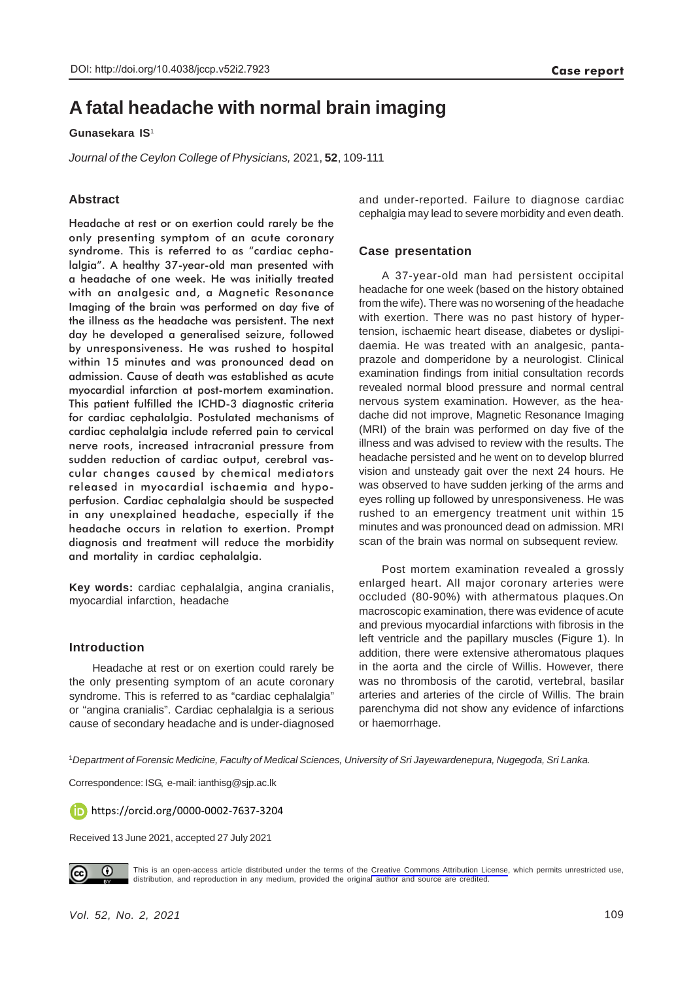# **A fatal headache with normal brain imaging**

### **Gunasekara IS**<sup>1</sup>

*Journal of the Ceylon College of Physicians,* 2021, **52**, 109-111

# **Abstract**

Headache at rest or on exertion could rarely be the only presenting symptom of an acute coronary syndrome. This is referred to as "cardiac cephalalgia". A healthy 37-year-old man presented with a headache of one week. He was initially treated with an analgesic and, a Magnetic Resonance Imaging of the brain was performed on day five of the illness as the headache was persistent. The next day he developed a generalised seizure, followed by unresponsiveness. He was rushed to hospital within 15 minutes and was pronounced dead on admission. Cause of death was established as acute myocardial infarction at post-mortem examination. This patient fulfilled the ICHD-3 diagnostic criteria for cardiac cephalalgia. Postulated mechanisms of cardiac cephalalgia include referred pain to cervical nerve roots, increased intracranial pressure from sudden reduction of cardiac output, cerebral vascular changes caused by chemical mediators released in myocardial ischaemia and hypoperfusion. Cardiac cephalalgia should be suspected in any unexplained headache, especially if the headache occurs in relation to exertion. Prompt diagnosis and treatment will reduce the morbidity and mortality in cardiac cephalalgia.

**Key words:** cardiac cephalalgia, angina cranialis, myocardial infarction, headache

#### **Introduction**

Headache at rest or on exertion could rarely be the only presenting symptom of an acute coronary syndrome. This is referred to as "cardiac cephalalgia" or "angina cranialis". Cardiac cephalalgia is a serious cause of secondary headache and is under-diagnosed

and under-reported. Failure to diagnose cardiac cephalgia may lead to severe morbidity and even death.

#### **Case presentation**

A 37-year-old man had persistent occipital headache for one week (based on the history obtained from the wife). There was no worsening of the headache with exertion. There was no past history of hypertension, ischaemic heart disease, diabetes or dyslipidaemia. He was treated with an analgesic, pantaprazole and domperidone by a neurologist. Clinical examination findings from initial consultation records revealed normal blood pressure and normal central nervous system examination. However, as the headache did not improve, Magnetic Resonance Imaging (MRI) of the brain was performed on day five of the illness and was advised to review with the results. The headache persisted and he went on to develop blurred vision and unsteady gait over the next 24 hours. He was observed to have sudden jerking of the arms and eyes rolling up followed by unresponsiveness. He was rushed to an emergency treatment unit within 15 minutes and was pronounced dead on admission. MRI scan of the brain was normal on subsequent review.

Post mortem examination revealed a grossly enlarged heart. All major coronary arteries were occluded (80-90%) with athermatous plaques.On macroscopic examination, there was evidence of acute and previous myocardial infarctions with fibrosis in the left ventricle and the papillary muscles (Figure 1). In addition, there were extensive atheromatous plaques in the aorta and the circle of Willis. However, there was no thrombosis of the carotid, vertebral, basilar arteries and arteries of the circle of Willis. The brain parenchyma did not show any evidence of infarctions or haemorrhage.

<sup>1</sup>*Department of Forensic Medicine, Faculty of Medical Sciences, University of Sri Jayewardenepura, Nugegoda, Sri Lanka.*

Correspondence: ISG, e-mail: ianthisg@sjp.ac.lk

https://orcid.org/0000-0002-7637-3204

Received 13 June 2021, accepted 27 July 2021



This is an open-access article distributed under the terms of the [Creative Commons Attribution License](https://creativecommons.org/licenses/by/4.0/legalcode), which permits unrestricted use, distribution, and reproduction in any medium, provided the original author and source are credited.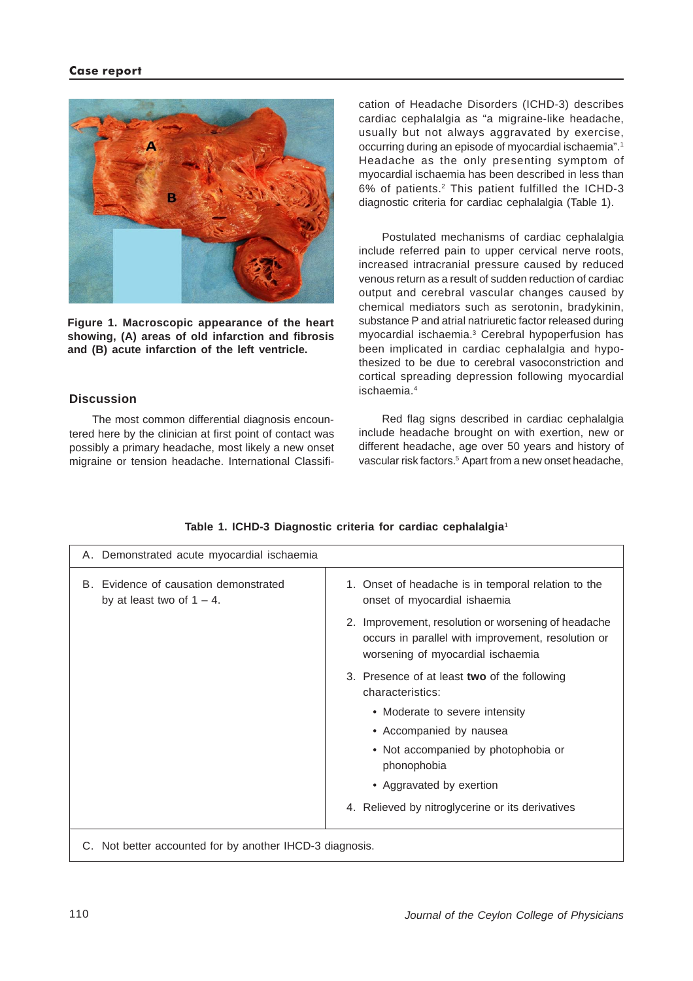#### **Case report**



**Figure 1. Macroscopic appearance of the heart showing, (A) areas of old infarction and fibrosis and (B) acute infarction of the left ventricle.**

### **Discussion**

The most common differential diagnosis encountered here by the clinician at first point of contact was possibly a primary headache, most likely a new onset migraine or tension headache. International Classification of Headache Disorders (ICHD-3) describes cardiac cephalalgia as "a migraine-like headache, usually but not always aggravated by exercise, occurring during an episode of myocardial ischaemia".1 Headache as the only presenting symptom of myocardial ischaemia has been described in less than 6% of patients.2 This patient fulfilled the ICHD-3 diagnostic criteria for cardiac cephalalgia (Table 1).

Postulated mechanisms of cardiac cephalalgia include referred pain to upper cervical nerve roots, increased intracranial pressure caused by reduced venous return as a result of sudden reduction of cardiac output and cerebral vascular changes caused by chemical mediators such as serotonin, bradykinin, substance P and atrial natriuretic factor released during myocardial ischaemia.3 Cerebral hypoperfusion has been implicated in cardiac cephalalgia and hypothesized to be due to cerebral vasoconstriction and cortical spreading depression following myocardial ischaemia.4

Red flag signs described in cardiac cephalalgia include headache brought on with exertion, new or different headache, age over 50 years and history of vascular risk factors.5 Apart from a new onset headache,

| A. Demonstrated acute myocardial ischaemia                            |                                                                                                                                                |
|-----------------------------------------------------------------------|------------------------------------------------------------------------------------------------------------------------------------------------|
| B. Evidence of causation demonstrated<br>by at least two of $1 - 4$ . | 1. Onset of headache is in temporal relation to the<br>onset of myocardial ishaemia                                                            |
|                                                                       | 2. Improvement, resolution or worsening of headache<br>occurs in parallel with improvement, resolution or<br>worsening of myocardial ischaemia |
|                                                                       | 3. Presence of at least two of the following<br>characteristics:                                                                               |
|                                                                       | • Moderate to severe intensity                                                                                                                 |
|                                                                       | • Accompanied by nausea                                                                                                                        |
|                                                                       | • Not accompanied by photophobia or<br>phonophobia                                                                                             |
|                                                                       | • Aggravated by exertion                                                                                                                       |
|                                                                       | 4. Relieved by nitroglycerine or its derivatives                                                                                               |
| C. Not better accounted for by another IHCD-3 diagnosis.              |                                                                                                                                                |

# **Table 1. ICHD-3 Diagnostic criteria for cardiac cephalalgia**<sup>1</sup>